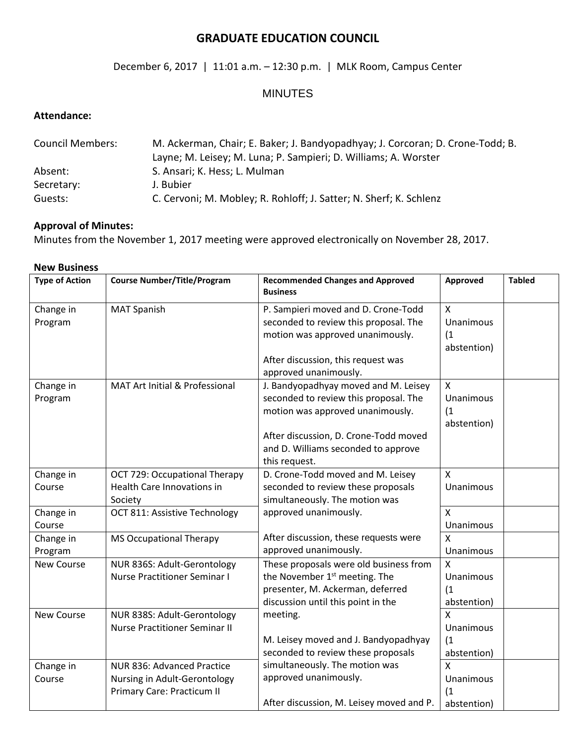# **GRADUATE EDUCATION COUNCIL**

## December 6, 2017 | 11:01 a.m. – 12:30 p.m. | MLK Room, Campus Center

# MINUTES

## **Attendance:**

| <b>Council Members:</b> | M. Ackerman, Chair; E. Baker; J. Bandyopadhyay; J. Corcoran; D. Crone-Todd; B. |  |  |
|-------------------------|--------------------------------------------------------------------------------|--|--|
|                         | Layne; M. Leisey; M. Luna; P. Sampieri; D. Williams; A. Worster                |  |  |
| Absent:                 | S. Ansari; K. Hess; L. Mulman                                                  |  |  |
| Secretary:              | J. Bubier                                                                      |  |  |
| Guests:                 | C. Cervoni; M. Mobley; R. Rohloff; J. Satter; N. Sherf; K. Schlenz             |  |  |

#### **Approval of Minutes:**

Minutes from the November 1, 2017 meeting were approved electronically on November 28, 2017.

| <b>New Business</b>   |                                                                                          |                                                                                                                                                                                                                    |                                                        |               |  |  |
|-----------------------|------------------------------------------------------------------------------------------|--------------------------------------------------------------------------------------------------------------------------------------------------------------------------------------------------------------------|--------------------------------------------------------|---------------|--|--|
| <b>Type of Action</b> | <b>Course Number/Title/Program</b>                                                       | <b>Recommended Changes and Approved</b><br><b>Business</b>                                                                                                                                                         | Approved                                               | <b>Tabled</b> |  |  |
| Change in<br>Program  | <b>MAT Spanish</b>                                                                       | P. Sampieri moved and D. Crone-Todd<br>seconded to review this proposal. The<br>motion was approved unanimously.<br>After discussion, this request was<br>approved unanimously.                                    | $\mathsf{X}$<br>Unanimous<br>(1)<br>abstention)        |               |  |  |
| Change in<br>Program  | MAT Art Initial & Professional                                                           | J. Bandyopadhyay moved and M. Leisey<br>seconded to review this proposal. The<br>motion was approved unanimously.<br>After discussion, D. Crone-Todd moved<br>and D. Williams seconded to approve<br>this request. | $\mathsf{X}$<br><b>Unanimous</b><br>(1)<br>abstention) |               |  |  |
| Change in<br>Course   | OCT 729: Occupational Therapy<br><b>Health Care Innovations in</b><br>Society            | D. Crone-Todd moved and M. Leisey<br>seconded to review these proposals<br>simultaneously. The motion was                                                                                                          | X<br>Unanimous                                         |               |  |  |
| Change in<br>Course   | OCT 811: Assistive Technology                                                            | approved unanimously.                                                                                                                                                                                              | $\mathsf{x}$<br>Unanimous                              |               |  |  |
| Change in<br>Program  | <b>MS Occupational Therapy</b>                                                           | After discussion, these requests were<br>approved unanimously.                                                                                                                                                     | X<br>Unanimous                                         |               |  |  |
| <b>New Course</b>     | NUR 836S: Adult-Gerontology<br><b>Nurse Practitioner Seminar I</b>                       | These proposals were old business from<br>the November 1 <sup>st</sup> meeting. The<br>presenter, M. Ackerman, deferred<br>discussion until this point in the                                                      | $\mathsf{x}$<br><b>Unanimous</b><br>(1)<br>abstention) |               |  |  |
| New Course            | NUR 838S: Adult-Gerontology<br><b>Nurse Practitioner Seminar II</b>                      | meeting.<br>M. Leisey moved and J. Bandyopadhyay<br>seconded to review these proposals                                                                                                                             | $\mathsf{x}$<br><b>Unanimous</b><br>(1)<br>abstention) |               |  |  |
| Change in<br>Course   | NUR 836: Advanced Practice<br>Nursing in Adult-Gerontology<br>Primary Care: Practicum II | simultaneously. The motion was<br>approved unanimously.<br>After discussion, M. Leisey moved and P.                                                                                                                | X<br><b>Unanimous</b><br>(1)<br>abstention)            |               |  |  |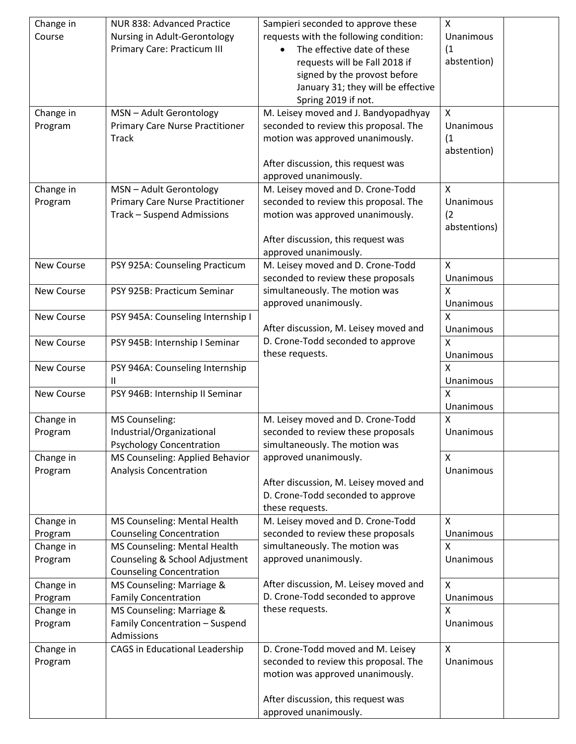| Change in<br>Course  | NUR 838: Advanced Practice<br>Nursing in Adult-Gerontology<br>Primary Care: Practicum III         | Sampieri seconded to approve these<br>requests with the following condition:<br>The effective date of these<br>requests will be Fall 2018 if<br>signed by the provost before<br>January 31; they will be effective<br>Spring 2019 if not.<br>M. Leisey moved and J. Bandyopadhyay | X<br>Unanimous<br>(1)<br>abstention)<br>X        |  |
|----------------------|---------------------------------------------------------------------------------------------------|-----------------------------------------------------------------------------------------------------------------------------------------------------------------------------------------------------------------------------------------------------------------------------------|--------------------------------------------------|--|
| Change in<br>Program | MSN - Adult Gerontology<br><b>Primary Care Nurse Practitioner</b><br><b>Track</b>                 | seconded to review this proposal. The<br>motion was approved unanimously.<br>After discussion, this request was<br>approved unanimously.                                                                                                                                          | Unanimous<br>(1)<br>abstention)                  |  |
| Change in<br>Program | MSN - Adult Gerontology<br><b>Primary Care Nurse Practitioner</b><br>Track - Suspend Admissions   | M. Leisey moved and D. Crone-Todd<br>seconded to review this proposal. The<br>motion was approved unanimously.<br>After discussion, this request was<br>approved unanimously.                                                                                                     | $\mathsf{X}$<br>Unanimous<br>(2)<br>abstentions) |  |
| New Course           | PSY 925A: Counseling Practicum                                                                    | M. Leisey moved and D. Crone-Todd<br>seconded to review these proposals                                                                                                                                                                                                           | X<br>Unanimous<br>$\mathsf{x}$                   |  |
| New Course           | PSY 925B: Practicum Seminar                                                                       | simultaneously. The motion was<br>approved unanimously.                                                                                                                                                                                                                           | Unanimous<br>$\mathsf{x}$                        |  |
| New Course           | PSY 945A: Counseling Internship I                                                                 | After discussion, M. Leisey moved and                                                                                                                                                                                                                                             | Unanimous                                        |  |
| New Course           | PSY 945B: Internship I Seminar                                                                    | D. Crone-Todd seconded to approve<br>these requests.                                                                                                                                                                                                                              | X<br>Unanimous                                   |  |
| New Course           | PSY 946A: Counseling Internship<br>Ш                                                              |                                                                                                                                                                                                                                                                                   | x<br>Unanimous                                   |  |
| New Course           | PSY 946B: Internship II Seminar                                                                   |                                                                                                                                                                                                                                                                                   | X<br>Unanimous                                   |  |
| Change in            | <b>MS Counseling:</b>                                                                             | M. Leisey moved and D. Crone-Todd                                                                                                                                                                                                                                                 | X                                                |  |
| Program              | Industrial/Organizational<br><b>Psychology Concentration</b>                                      | seconded to review these proposals<br>simultaneously. The motion was                                                                                                                                                                                                              | Unanimous                                        |  |
| Change in<br>Program | MS Counseling: Applied Behavior<br><b>Analysis Concentration</b>                                  | approved unanimously.<br>After discussion, M. Leisey moved and<br>D. Crone-Todd seconded to approve<br>these requests.                                                                                                                                                            | X<br>Unanimous                                   |  |
| Change in<br>Program | MS Counseling: Mental Health<br><b>Counseling Concentration</b>                                   | M. Leisey moved and D. Crone-Todd<br>seconded to review these proposals                                                                                                                                                                                                           | $\mathsf{x}$<br>Unanimous                        |  |
| Change in<br>Program | MS Counseling: Mental Health<br>Counseling & School Adjustment<br><b>Counseling Concentration</b> | simultaneously. The motion was<br>approved unanimously.                                                                                                                                                                                                                           | X<br>Unanimous                                   |  |
| Change in            | MS Counseling: Marriage &                                                                         | After discussion, M. Leisey moved and                                                                                                                                                                                                                                             | X                                                |  |
| Program<br>Change in | <b>Family Concentration</b><br>MS Counseling: Marriage &                                          | D. Crone-Todd seconded to approve<br>these requests.                                                                                                                                                                                                                              | Unanimous<br>$\mathsf{x}$                        |  |
| Program              | Family Concentration - Suspend<br>Admissions                                                      |                                                                                                                                                                                                                                                                                   | Unanimous                                        |  |
| Change in<br>Program | CAGS in Educational Leadership                                                                    | D. Crone-Todd moved and M. Leisey<br>seconded to review this proposal. The<br>motion was approved unanimously.<br>After discussion, this request was<br>approved unanimously.                                                                                                     | X<br>Unanimous                                   |  |